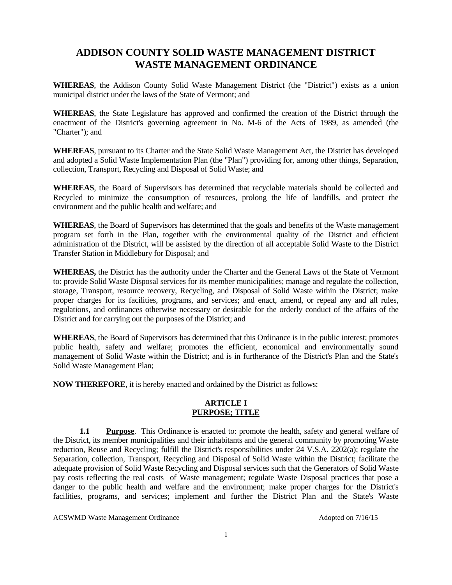# **ADDISON COUNTY SOLID WASTE MANAGEMENT DISTRICT WASTE MANAGEMENT ORDINANCE**

**WHEREAS**, the Addison County Solid Waste Management District (the "District") exists as a union municipal district under the laws of the State of Vermont; and

**WHEREAS**, the State Legislature has approved and confirmed the creation of the District through the enactment of the District's governing agreement in No. M-6 of the Acts of 1989, as amended (the "Charter"); and

**WHEREAS**, pursuant to its Charter and the State Solid Waste Management Act, the District has developed and adopted a Solid Waste Implementation Plan (the "Plan") providing for, among other things, Separation, collection, Transport, Recycling and Disposal of Solid Waste; and

**WHEREAS**, the Board of Supervisors has determined that recyclable materials should be collected and Recycled to minimize the consumption of resources, prolong the life of landfills, and protect the environment and the public health and welfare; and

**WHEREAS**, the Board of Supervisors has determined that the goals and benefits of the Waste management program set forth in the Plan, together with the environmental quality of the District and efficient administration of the District, will be assisted by the direction of all acceptable Solid Waste to the District Transfer Station in Middlebury for Disposal; and

**WHEREAS,** the District has the authority under the Charter and the General Laws of the State of Vermont to: provide Solid Waste Disposal services for its member municipalities; manage and regulate the collection, storage, Transport, resource recovery, Recycling, and Disposal of Solid Waste within the District; make proper charges for its facilities, programs, and services; and enact, amend, or repeal any and all rules, regulations, and ordinances otherwise necessary or desirable for the orderly conduct of the affairs of the District and for carrying out the purposes of the District; and

**WHEREAS**, the Board of Supervisors has determined that this Ordinance is in the public interest; promotes public health, safety and welfare; promotes the efficient, economical and environmentally sound management of Solid Waste within the District; and is in furtherance of the District's Plan and the State's Solid Waste Management Plan;

**NOW THEREFORE**, it is hereby enacted and ordained by the District as follows:

### **ARTICLE I PURPOSE; TITLE**

**1.1 Purpose**. This Ordinance is enacted to: promote the health, safety and general welfare of the District, its member municipalities and their inhabitants and the general community by promoting Waste reduction, Reuse and Recycling; fulfill the District's responsibilities under 24 V.S.A. 2202(a); regulate the Separation, collection, Transport, Recycling and Disposal of Solid Waste within the District; facilitate the adequate provision of Solid Waste Recycling and Disposal services such that the Generators of Solid Waste pay costs reflecting the real costs of Waste management; regulate Waste Disposal practices that pose a danger to the public health and welfare and the environment; make proper charges for the District's facilities, programs, and services; implement and further the District Plan and the State's Waste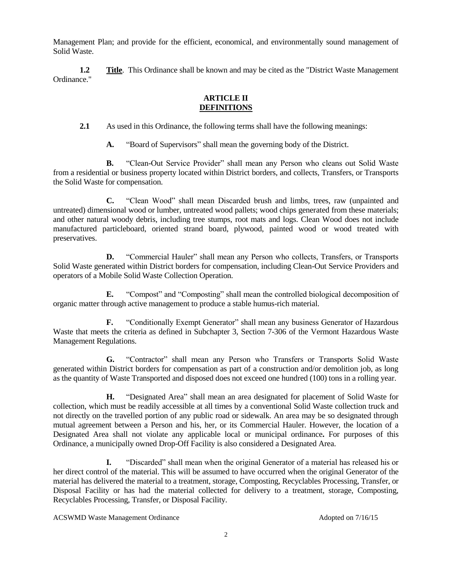Management Plan; and provide for the efficient, economical, and environmentally sound management of Solid Waste.

**1.2 Title**. This Ordinance shall be known and may be cited as the "District Waste Management" Ordinance."

### **ARTICLE II DEFINITIONS**

**2.1** As used in this Ordinance, the following terms shall have the following meanings:

**A.** "Board of Supervisors" shall mean the governing body of the District.

**B.** "Clean-Out Service Provider" shall mean any Person who cleans out Solid Waste from a residential or business property located within District borders, and collects, Transfers, or Transports the Solid Waste for compensation.

**C.** "Clean Wood" shall mean Discarded brush and limbs, trees, raw (unpainted and untreated) dimensional wood or lumber, untreated wood pallets; wood chips generated from these materials; and other natural woody debris, including tree stumps, root mats and logs. Clean Wood does not include manufactured particleboard, oriented strand board, plywood, painted wood or wood treated with preservatives.

**D.** "Commercial Hauler" shall mean any Person who collects, Transfers, or Transports Solid Waste generated within District borders for compensation, including Clean-Out Service Providers and operators of a Mobile Solid Waste Collection Operation.

**E.** "Compost" and "Composting" shall mean the controlled biological decomposition of organic matter through active management to produce a stable humus-rich material.

**F.** "Conditionally Exempt Generator" shall mean any business Generator of Hazardous Waste that meets the criteria as defined in Subchapter 3, Section 7-306 of the Vermont Hazardous Waste Management Regulations.

**G.** "Contractor" shall mean any Person who Transfers or Transports Solid Waste generated within District borders for compensation as part of a construction and/or demolition job, as long as the quantity of Waste Transported and disposed does not exceed one hundred (100) tons in a rolling year.

**H.** "Designated Area" shall mean an area designated for placement of Solid Waste for collection, which must be readily accessible at all times by a conventional Solid Waste collection truck and not directly on the travelled portion of any public road or sidewalk. An area may be so designated through mutual agreement between a Person and his, her, or its Commercial Hauler. However, the location of a Designated Area shall not violate any applicable local or municipal ordinance**.** For purposes of this Ordinance, a municipally owned Drop-Off Facility is also considered a Designated Area.

**I.** "Discarded" shall mean when the original Generator of a material has released his or her direct control of the material. This will be assumed to have occurred when the original Generator of the material has delivered the material to a treatment, storage, Composting, Recyclables Processing, Transfer, or Disposal Facility or has had the material collected for delivery to a treatment, storage, Composting, Recyclables Processing, Transfer, or Disposal Facility.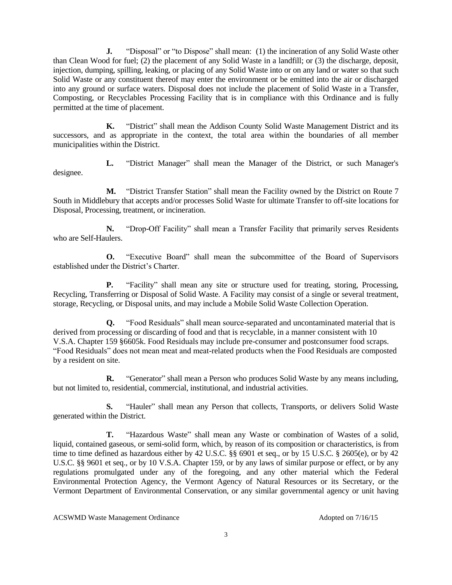**J.** "Disposal" or "to Dispose" shall mean: (1) the incineration of any Solid Waste other than Clean Wood for fuel; (2) the placement of any Solid Waste in a landfill; or (3) the discharge, deposit, injection, dumping, spilling, leaking, or placing of any Solid Waste into or on any land or water so that such Solid Waste or any constituent thereof may enter the environment or be emitted into the air or discharged into any ground or surface waters. Disposal does not include the placement of Solid Waste in a Transfer, Composting, or Recyclables Processing Facility that is in compliance with this Ordinance and is fully permitted at the time of placement.

**K.** "District" shall mean the Addison County Solid Waste Management District and its successors, and as appropriate in the context, the total area within the boundaries of all member municipalities within the District.

**L.** "District Manager" shall mean the Manager of the District, or such Manager's designee.

**M.** "District Transfer Station" shall mean the Facility owned by the District on Route 7 South in Middlebury that accepts and/or processes Solid Waste for ultimate Transfer to off-site locations for Disposal, Processing, treatment, or incineration.

**N.** "Drop-Off Facility" shall mean a Transfer Facility that primarily serves Residents who are Self-Haulers.

**O.** "Executive Board" shall mean the subcommittee of the Board of Supervisors established under the District's Charter.

**P.** "Facility" shall mean any site or structure used for treating, storing, Processing, Recycling, Transferring or Disposal of Solid Waste. A Facility may consist of a single or several treatment, storage, Recycling, or Disposal units, and may include a Mobile Solid Waste Collection Operation.

**Q.** "Food Residuals" shall mean source-separated and uncontaminated material that is derived from processing or discarding of food and that is recyclable, in a manner consistent with 10 V.S.A. Chapter 159 §6605k. Food Residuals may include pre-consumer and postconsumer food scraps. "Food Residuals" does not mean meat and meat-related products when the Food Residuals are composted by a resident on site.

**R.** "Generator" shall mean a Person who produces Solid Waste by any means including, but not limited to, residential, commercial, institutional, and industrial activities.

**S.** "Hauler" shall mean any Person that collects, Transports, or delivers Solid Waste generated within the District.

**T.** "Hazardous Waste" shall mean any Waste or combination of Wastes of a solid, liquid, contained gaseous, or semi-solid form, which, by reason of its composition or characteristics, is from time to time defined as hazardous either by 42 U.S.C. §§ 6901 et seq., or by 15 U.S.C. § 2605(e), or by 42 U.S.C. §§ 9601 et seq., or by 10 V.S.A. Chapter 159, or by any laws of similar purpose or effect, or by any regulations promulgated under any of the foregoing, and any other material which the Federal Environmental Protection Agency, the Vermont Agency of Natural Resources or its Secretary, or the Vermont Department of Environmental Conservation, or any similar governmental agency or unit having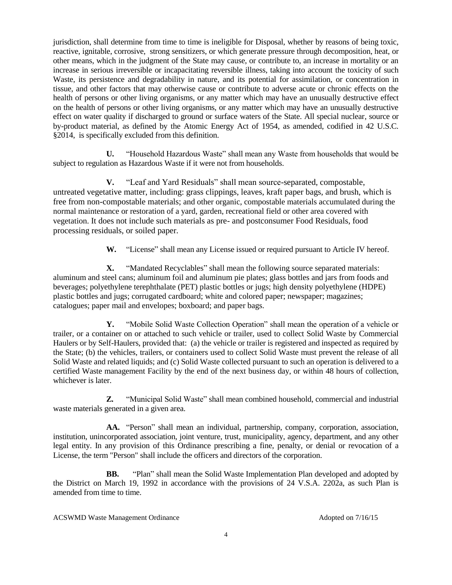jurisdiction, shall determine from time to time is ineligible for Disposal, whether by reasons of being toxic, reactive, ignitable, corrosive, strong sensitizers, or which generate pressure through decomposition, heat, or other means, which in the judgment of the State may cause, or contribute to, an increase in mortality or an increase in serious irreversible or incapacitating reversible illness, taking into account the toxicity of such Waste, its persistence and degradability in nature, and its potential for assimilation, or concentration in tissue, and other factors that may otherwise cause or contribute to adverse acute or chronic effects on the health of persons or other living organisms, or any matter which may have an unusually destructive effect on the health of persons or other living organisms, or any matter which may have an unusually destructive effect on water quality if discharged to ground or surface waters of the State. All special nuclear, source or by-product material, as defined by the Atomic Energy Act of 1954, as amended, codified in 42 U.S.C. §2014, is specifically excluded from this definition.

**U.** "Household Hazardous Waste" shall mean any Waste from households that would be subject to regulation as Hazardous Waste if it were not from households.

**V.** "Leaf and Yard Residuals" shall mean source-separated, compostable, untreated vegetative matter, including: grass clippings, leaves, kraft paper bags, and brush, which is free from non-compostable materials; and other organic, compostable materials accumulated during the normal maintenance or restoration of a yard, garden, recreational field or other area covered with vegetation. It does not include such materials as pre- and postconsumer Food Residuals, food processing residuals, or soiled paper.

**W.** "License" shall mean any License issued or required pursuant to Article IV hereof.

**X.** "Mandated Recyclables" shall mean the following source separated materials: aluminum and steel cans; aluminum foil and aluminum pie plates; glass bottles and jars from foods and beverages; polyethylene terephthalate (PET) plastic bottles or jugs; high density polyethylene (HDPE) plastic bottles and jugs; corrugated cardboard; white and colored paper; newspaper; magazines; catalogues; paper mail and envelopes; boxboard; and paper bags.

**Y.** "Mobile Solid Waste Collection Operation" shall mean the operation of a vehicle or trailer, or a container on or attached to such vehicle or trailer, used to collect Solid Waste by Commercial Haulers or by Self-Haulers, provided that: (a) the vehicle or trailer is registered and inspected as required by the State; (b) the vehicles, trailers, or containers used to collect Solid Waste must prevent the release of all Solid Waste and related liquids; and (c) Solid Waste collected pursuant to such an operation is delivered to a certified Waste management Facility by the end of the next business day, or within 48 hours of collection, whichever is later.

**Z.** "Municipal Solid Waste" shall mean combined household, commercial and industrial waste materials generated in a given area.

**AA.** "Person" shall mean an individual, partnership, company, corporation, association, institution, unincorporated association, joint venture, trust, municipality, agency, department, and any other legal entity. In any provision of this Ordinance prescribing a fine, penalty, or denial or revocation of a License, the term "Person" shall include the officers and directors of the corporation.

**BB.** "Plan" shall mean the Solid Waste Implementation Plan developed and adopted by the District on March 19, 1992 in accordance with the provisions of 24 V.S.A. 2202a, as such Plan is amended from time to time.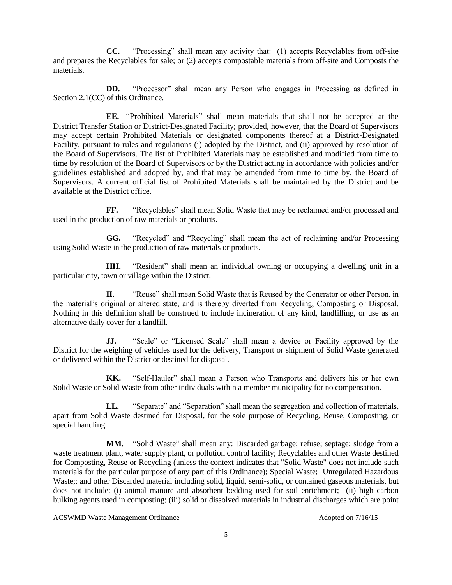**CC.** "Processing" shall mean any activity that: (1) accepts Recyclables from off-site and prepares the Recyclables for sale; or (2) accepts compostable materials from off-site and Composts the materials.

**DD.** "Processor" shall mean any Person who engages in Processing as defined in Section 2.1(CC) of this Ordinance.

**EE.** "Prohibited Materials" shall mean materials that shall not be accepted at the District Transfer Station or District-Designated Facility; provided, however, that the Board of Supervisors may accept certain Prohibited Materials or designated components thereof at a District-Designated Facility, pursuant to rules and regulations (i) adopted by the District, and (ii) approved by resolution of the Board of Supervisors. The list of Prohibited Materials may be established and modified from time to time by resolution of the Board of Supervisors or by the District acting in accordance with policies and/or guidelines established and adopted by, and that may be amended from time to time by, the Board of Supervisors. A current official list of Prohibited Materials shall be maintained by the District and be available at the District office.

**FF.** "Recyclables" shall mean Solid Waste that may be reclaimed and/or processed and used in the production of raw materials or products.

**GG.** "Recycled" and "Recycling" shall mean the act of reclaiming and/or Processing using Solid Waste in the production of raw materials or products.

**HH.** "Resident" shall mean an individual owning or occupying a dwelling unit in a particular city, town or village within the District.

**II.** "Reuse" shall mean Solid Waste that is Reused by the Generator or other Person, in the material's original or altered state, and is thereby diverted from Recycling, Composting or Disposal. Nothing in this definition shall be construed to include incineration of any kind, landfilling, or use as an alternative daily cover for a landfill.

**JJ.** "Scale" or "Licensed Scale" shall mean a device or Facility approved by the District for the weighing of vehicles used for the delivery, Transport or shipment of Solid Waste generated or delivered within the District or destined for disposal.

**KK.** "Self-Hauler" shall mean a Person who Transports and delivers his or her own Solid Waste or Solid Waste from other individuals within a member municipality for no compensation.

LL. "Separate" and "Separation" shall mean the segregation and collection of materials, apart from Solid Waste destined for Disposal, for the sole purpose of Recycling, Reuse, Composting, or special handling.

**MM.** "Solid Waste" shall mean any: Discarded garbage; refuse; septage; sludge from a waste treatment plant, water supply plant, or pollution control facility; Recyclables and other Waste destined for Composting, Reuse or Recycling (unless the context indicates that "Solid Waste" does not include such materials for the particular purpose of any part of this Ordinance); Special Waste; Unregulated Hazardous Waste;; and other Discarded material including solid, liquid, semi-solid, or contained gaseous materials, but does not include: (i) animal manure and absorbent bedding used for soil enrichment; (ii) high carbon bulking agents used in composting; (iii) solid or dissolved materials in industrial discharges which are point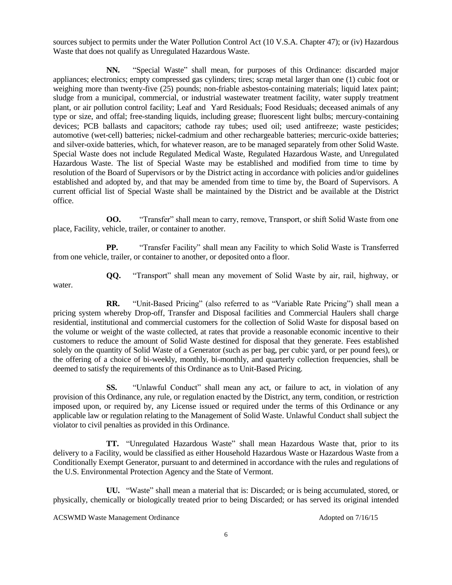sources subject to permits under the Water Pollution Control Act (10 V.S.A. Chapter 47); or (iv) Hazardous Waste that does not qualify as Unregulated Hazardous Waste.

**NN.** "Special Waste" shall mean, for purposes of this Ordinance: discarded major appliances; electronics; empty compressed gas cylinders; tires; scrap metal larger than one (1) cubic foot or weighing more than twenty-five (25) pounds; non-friable asbestos-containing materials; liquid latex paint; sludge from a municipal, commercial, or industrial wastewater treatment facility, water supply treatment plant, or air pollution control facility; Leaf and Yard Residuals; Food Residuals; deceased animals of any type or size, and offal; free-standing liquids, including grease; fluorescent light bulbs; mercury-containing devices; PCB ballasts and capacitors; cathode ray tubes; used oil; used antifreeze; waste pesticides; automotive (wet-cell) batteries; nickel-cadmium and other rechargeable batteries; mercuric-oxide batteries; and silver-oxide batteries, which, for whatever reason, are to be managed separately from other Solid Waste. Special Waste does not include Regulated Medical Waste, Regulated Hazardous Waste, and Unregulated Hazardous Waste. The list of Special Waste may be established and modified from time to time by resolution of the Board of Supervisors or by the District acting in accordance with policies and/or guidelines established and adopted by, and that may be amended from time to time by, the Board of Supervisors. A current official list of Special Waste shall be maintained by the District and be available at the District office.

**OO.** "Transfer" shall mean to carry, remove, Transport, or shift Solid Waste from one place, Facility, vehicle, trailer, or container to another.

**PP.** "Transfer Facility" shall mean any Facility to which Solid Waste is Transferred from one vehicle, trailer, or container to another, or deposited onto a floor.

**QQ.** "Transport" shall mean any movement of Solid Waste by air, rail, highway, or

**RR.** "Unit-Based Pricing" (also referred to as "Variable Rate Pricing") shall mean a pricing system whereby Drop-off, Transfer and Disposal facilities and Commercial Haulers shall charge residential, institutional and commercial customers for the collection of Solid Waste for disposal based on the volume or weight of the waste collected, at rates that provide a reasonable economic incentive to their customers to reduce the amount of Solid Waste destined for disposal that they generate. Fees established solely on the quantity of Solid Waste of a Generator (such as per bag, per cubic yard, or per pound fees), or the offering of a choice of bi-weekly, monthly, bi-monthly, and quarterly collection frequencies, shall be deemed to satisfy the requirements of this Ordinance as to Unit-Based Pricing.

**SS.** "Unlawful Conduct" shall mean any act, or failure to act, in violation of any provision of this Ordinance, any rule, or regulation enacted by the District, any term, condition, or restriction imposed upon, or required by, any License issued or required under the terms of this Ordinance or any applicable law or regulation relating to the Management of Solid Waste. Unlawful Conduct shall subject the violator to civil penalties as provided in this Ordinance.

**TT.** "Unregulated Hazardous Waste" shall mean Hazardous Waste that, prior to its delivery to a Facility, would be classified as either Household Hazardous Waste or Hazardous Waste from a Conditionally Exempt Generator, pursuant to and determined in accordance with the rules and regulations of the U.S. Environmental Protection Agency and the State of Vermont.

**UU.** "Waste" shall mean a material that is: Discarded; or is being accumulated, stored, or physically, chemically or biologically treated prior to being Discarded; or has served its original intended

ACSWMD Waste Management Ordinance Adopted on 7/16/15

water.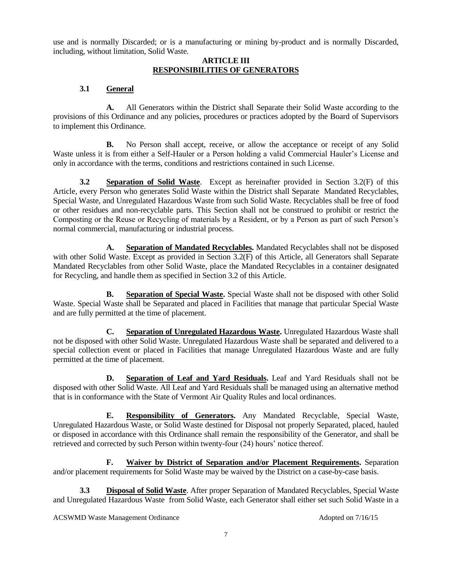use and is normally Discarded; or is a manufacturing or mining by-product and is normally Discarded, including, without limitation, Solid Waste.

### **ARTICLE III RESPONSIBILITIES OF GENERATORS**

# **3.1 General**

**A.** All Generators within the District shall Separate their Solid Waste according to the provisions of this Ordinance and any policies, procedures or practices adopted by the Board of Supervisors to implement this Ordinance.

**B.** No Person shall accept, receive, or allow the acceptance or receipt of any Solid Waste unless it is from either a Self-Hauler or a Person holding a valid Commercial Hauler's License and only in accordance with the terms, conditions and restrictions contained in such License.

**3.2 Separation of Solid Waste**. Except as hereinafter provided in Section 3.2(F) of this Article, every Person who generates Solid Waste within the District shall Separate Mandated Recyclables, Special Waste, and Unregulated Hazardous Waste from such Solid Waste. Recyclables shall be free of food or other residues and non-recyclable parts. This Section shall not be construed to prohibit or restrict the Composting or the Reuse or Recycling of materials by a Resident, or by a Person as part of such Person's normal commercial, manufacturing or industrial process.

**A. Separation of Mandated Recyclables.** Mandated Recyclables shall not be disposed with other Solid Waste. Except as provided in Section 3.2(F) of this Article, all Generators shall Separate Mandated Recyclables from other Solid Waste, place the Mandated Recyclables in a container designated for Recycling, and handle them as specified in Section 3.2 of this Article.

**B. Separation of Special Waste.** Special Waste shall not be disposed with other Solid Waste. Special Waste shall be Separated and placed in Facilities that manage that particular Special Waste and are fully permitted at the time of placement.

**C. Separation of Unregulated Hazardous Waste.** Unregulated Hazardous Waste shall not be disposed with other Solid Waste. Unregulated Hazardous Waste shall be separated and delivered to a special collection event or placed in Facilities that manage Unregulated Hazardous Waste and are fully permitted at the time of placement.

**D. Separation of Leaf and Yard Residuals.** Leaf and Yard Residuals shall not be disposed with other Solid Waste. All Leaf and Yard Residuals shall be managed using an alternative method that is in conformance with the State of Vermont Air Quality Rules and local ordinances.

**E. Responsibility of Generators.** Any Mandated Recyclable, Special Waste, Unregulated Hazardous Waste, or Solid Waste destined for Disposal not properly Separated, placed, hauled or disposed in accordance with this Ordinance shall remain the responsibility of the Generator, and shall be retrieved and corrected by such Person within twenty-four (24) hours' notice thereof.

**F. Waiver by District of Separation and/or Placement Requirements.** Separation and/or placement requirements for Solid Waste may be waived by the District on a case-by-case basis.

**3.3 Disposal of Solid Waste**. After proper Separation of Mandated Recyclables, Special Waste and Unregulated Hazardous Waste from Solid Waste, each Generator shall either set such Solid Waste in a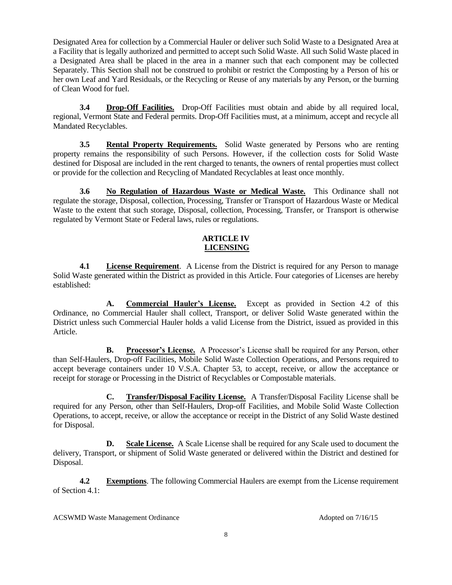Designated Area for collection by a Commercial Hauler or deliver such Solid Waste to a Designated Area at a Facility that is legally authorized and permitted to accept such Solid Waste. All such Solid Waste placed in a Designated Area shall be placed in the area in a manner such that each component may be collected Separately. This Section shall not be construed to prohibit or restrict the Composting by a Person of his or her own Leaf and Yard Residuals, or the Recycling or Reuse of any materials by any Person, or the burning of Clean Wood for fuel.

**3.4 Drop-Off Facilities.** Drop-Off Facilities must obtain and abide by all required local, regional, Vermont State and Federal permits. Drop-Off Facilities must, at a minimum, accept and recycle all Mandated Recyclables.

**3.5 Rental Property Requirements.** Solid Waste generated by Persons who are renting property remains the responsibility of such Persons. However, if the collection costs for Solid Waste destined for Disposal are included in the rent charged to tenants, the owners of rental properties must collect or provide for the collection and Recycling of Mandated Recyclables at least once monthly.

**3.6 No Regulation of Hazardous Waste or Medical Waste.** This Ordinance shall not regulate the storage, Disposal, collection, Processing, Transfer or Transport of Hazardous Waste or Medical Waste to the extent that such storage, Disposal, collection, Processing, Transfer, or Transport is otherwise regulated by Vermont State or Federal laws, rules or regulations.

## **ARTICLE IV LICENSING**

**4.1 License Requirement**. A License from the District is required for any Person to manage Solid Waste generated within the District as provided in this Article. Four categories of Licenses are hereby established:

**A. Commercial Hauler's License.** Except as provided in Section 4.2 of this Ordinance, no Commercial Hauler shall collect, Transport, or deliver Solid Waste generated within the District unless such Commercial Hauler holds a valid License from the District, issued as provided in this Article.

**B. Processor's License.** A Processor's License shall be required for any Person, other than Self-Haulers, Drop-off Facilities, Mobile Solid Waste Collection Operations, and Persons required to accept beverage containers under 10 V.S.A. Chapter 53, to accept, receive, or allow the acceptance or receipt for storage or Processing in the District of Recyclables or Compostable materials.

**C. Transfer/Disposal Facility License.** A Transfer/Disposal Facility License shall be required for any Person, other than Self-Haulers, Drop-off Facilities, and Mobile Solid Waste Collection Operations, to accept, receive, or allow the acceptance or receipt in the District of any Solid Waste destined for Disposal.

**D. Scale License.** A Scale License shall be required for any Scale used to document the delivery, Transport, or shipment of Solid Waste generated or delivered within the District and destined for Disposal.

**4.2 Exemptions**. The following Commercial Haulers are exempt from the License requirement of Section 4.1: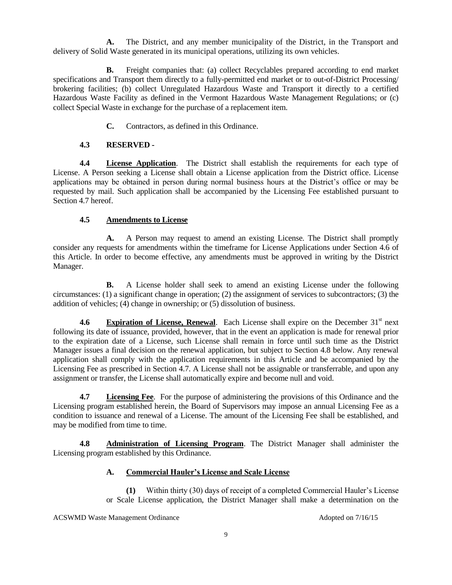**A.** The District, and any member municipality of the District, in the Transport and delivery of Solid Waste generated in its municipal operations, utilizing its own vehicles.

**B.** Freight companies that: (a) collect Recyclables prepared according to end market specifications and Transport them directly to a fully-permitted end market or to out-of-District Processing/ brokering facilities; (b) collect Unregulated Hazardous Waste and Transport it directly to a certified Hazardous Waste Facility as defined in the Vermont Hazardous Waste Management Regulations; or (c) collect Special Waste in exchange for the purchase of a replacement item.

**C.** Contractors, as defined in this Ordinance.

# **4.3 RESERVED -**

**4.4 License Application**. The District shall establish the requirements for each type of License. A Person seeking a License shall obtain a License application from the District office. License applications may be obtained in person during normal business hours at the District's office or may be requested by mail. Such application shall be accompanied by the Licensing Fee established pursuant to Section 4.7 hereof.

# **4.5 Amendments to License**

**A.** A Person may request to amend an existing License. The District shall promptly consider any requests for amendments within the timeframe for License Applications under Section 4.6 of this Article. In order to become effective, any amendments must be approved in writing by the District Manager.

**B.** A License holder shall seek to amend an existing License under the following circumstances: (1) a significant change in operation; (2) the assignment of services to subcontractors; (3) the addition of vehicles; (4) change in ownership; or (5) dissolution of business.

**4.6 Expiration of License, Renewal**. Each License shall expire on the December 31<sup>st</sup> next following its date of issuance, provided, however, that in the event an application is made for renewal prior to the expiration date of a License, such License shall remain in force until such time as the District Manager issues a final decision on the renewal application, but subject to Section 4.8 below. Any renewal application shall comply with the application requirements in this Article and be accompanied by the Licensing Fee as prescribed in Section 4.7. A License shall not be assignable or transferrable, and upon any assignment or transfer, the License shall automatically expire and become null and void.

**4.7 Licensing Fee**. For the purpose of administering the provisions of this Ordinance and the Licensing program established herein, the Board of Supervisors may impose an annual Licensing Fee as a condition to issuance and renewal of a License. The amount of the Licensing Fee shall be established, and may be modified from time to time.

**4.8 Administration of Licensing Program**. The District Manager shall administer the Licensing program established by this Ordinance.

# **A. Commercial Hauler's License and Scale License**

**(1)** Within thirty (30) days of receipt of a completed Commercial Hauler's License or Scale License application, the District Manager shall make a determination on the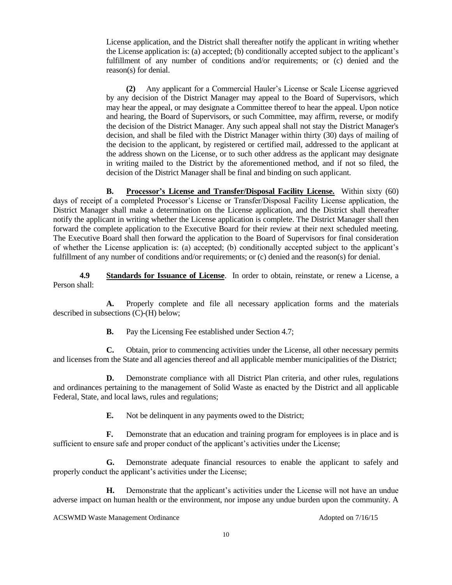License application, and the District shall thereafter notify the applicant in writing whether the License application is: (a) accepted; (b) conditionally accepted subject to the applicant's fulfillment of any number of conditions and/or requirements; or (c) denied and the reason(s) for denial.

**(2)** Any applicant for a Commercial Hauler's License or Scale License aggrieved by any decision of the District Manager may appeal to the Board of Supervisors, which may hear the appeal, or may designate a Committee thereof to hear the appeal. Upon notice and hearing, the Board of Supervisors, or such Committee, may affirm, reverse, or modify the decision of the District Manager. Any such appeal shall not stay the District Manager's decision, and shall be filed with the District Manager within thirty (30) days of mailing of the decision to the applicant, by registered or certified mail, addressed to the applicant at the address shown on the License, or to such other address as the applicant may designate in writing mailed to the District by the aforementioned method, and if not so filed, the decision of the District Manager shall be final and binding on such applicant.

**B. Processor's License and Transfer/Disposal Facility License.** Within sixty (60) days of receipt of a completed Processor's License or Transfer/Disposal Facility License application, the District Manager shall make a determination on the License application, and the District shall thereafter notify the applicant in writing whether the License application is complete. The District Manager shall then forward the complete application to the Executive Board for their review at their next scheduled meeting. The Executive Board shall then forward the application to the Board of Supervisors for final consideration of whether the License application is: (a) accepted; (b) conditionally accepted subject to the applicant's fulfillment of any number of conditions and/or requirements; or (c) denied and the reason(s) for denial.

**4.9 Standards for Issuance of License**. In order to obtain, reinstate, or renew a License, a Person shall:

**A.** Properly complete and file all necessary application forms and the materials described in subsections (C)-(H) below;

**B.** Pay the Licensing Fee established under Section 4.7;

**C.** Obtain, prior to commencing activities under the License, all other necessary permits and licenses from the State and all agencies thereof and all applicable member municipalities of the District;

**D.** Demonstrate compliance with all District Plan criteria, and other rules, regulations and ordinances pertaining to the management of Solid Waste as enacted by the District and all applicable Federal, State, and local laws, rules and regulations;

**E.** Not be delinquent in any payments owed to the District;

**F.** Demonstrate that an education and training program for employees is in place and is sufficient to ensure safe and proper conduct of the applicant's activities under the License;

**G.** Demonstrate adequate financial resources to enable the applicant to safely and properly conduct the applicant's activities under the License;

**H.** Demonstrate that the applicant's activities under the License will not have an undue adverse impact on human health or the environment, nor impose any undue burden upon the community. A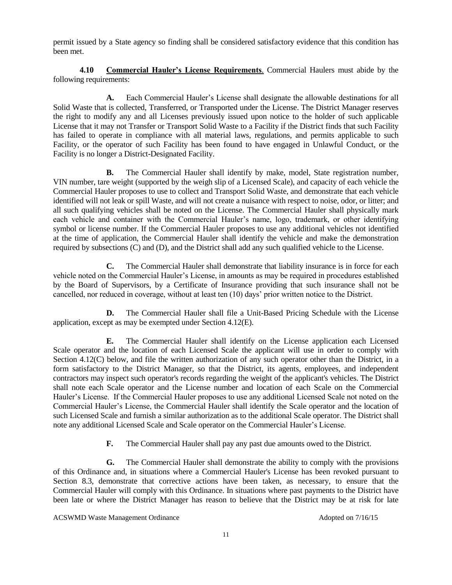permit issued by a State agency so finding shall be considered satisfactory evidence that this condition has been met.

**4.10 Commercial Hauler's License Requirements**. Commercial Haulers must abide by the following requirements:

**A.** Each Commercial Hauler's License shall designate the allowable destinations for all Solid Waste that is collected, Transferred, or Transported under the License. The District Manager reserves the right to modify any and all Licenses previously issued upon notice to the holder of such applicable License that it may not Transfer or Transport Solid Waste to a Facility if the District finds that such Facility has failed to operate in compliance with all material laws, regulations, and permits applicable to such Facility, or the operator of such Facility has been found to have engaged in Unlawful Conduct, or the Facility is no longer a District-Designated Facility.

**B.** The Commercial Hauler shall identify by make, model, State registration number, VIN number, tare weight (supported by the weigh slip of a Licensed Scale), and capacity of each vehicle the Commercial Hauler proposes to use to collect and Transport Solid Waste, and demonstrate that each vehicle identified will not leak or spill Waste, and will not create a nuisance with respect to noise, odor, or litter; and all such qualifying vehicles shall be noted on the License. The Commercial Hauler shall physically mark each vehicle and container with the Commercial Hauler's name, logo, trademark, or other identifying symbol or license number. If the Commercial Hauler proposes to use any additional vehicles not identified at the time of application, the Commercial Hauler shall identify the vehicle and make the demonstration required by subsections (C) and (D), and the District shall add any such qualified vehicle to the License.

**C.** The Commercial Hauler shall demonstrate that liability insurance is in force for each vehicle noted on the Commercial Hauler's License, in amounts as may be required in procedures established by the Board of Supervisors, by a Certificate of Insurance providing that such insurance shall not be cancelled, nor reduced in coverage, without at least ten (10) days' prior written notice to the District.

**D.** The Commercial Hauler shall file a Unit-Based Pricing Schedule with the License application, except as may be exempted under Section 4.12(E).

**E.** The Commercial Hauler shall identify on the License application each Licensed Scale operator and the location of each Licensed Scale the applicant will use in order to comply with Section 4.12(C) below, and file the written authorization of any such operator other than the District, in a form satisfactory to the District Manager, so that the District, its agents, employees, and independent contractors may inspect such operator's records regarding the weight of the applicant's vehicles. The District shall note each Scale operator and the License number and location of each Scale on the Commercial Hauler's License. If the Commercial Hauler proposes to use any additional Licensed Scale not noted on the Commercial Hauler's License, the Commercial Hauler shall identify the Scale operator and the location of such Licensed Scale and furnish a similar authorization as to the additional Scale operator. The District shall note any additional Licensed Scale and Scale operator on the Commercial Hauler's License.

**F.** The Commercial Hauler shall pay any past due amounts owed to the District.

**G.** The Commercial Hauler shall demonstrate the ability to comply with the provisions of this Ordinance and, in situations where a Commercial Hauler's License has been revoked pursuant to Section 8.3, demonstrate that corrective actions have been taken, as necessary, to ensure that the Commercial Hauler will comply with this Ordinance. In situations where past payments to the District have been late or where the District Manager has reason to believe that the District may be at risk for late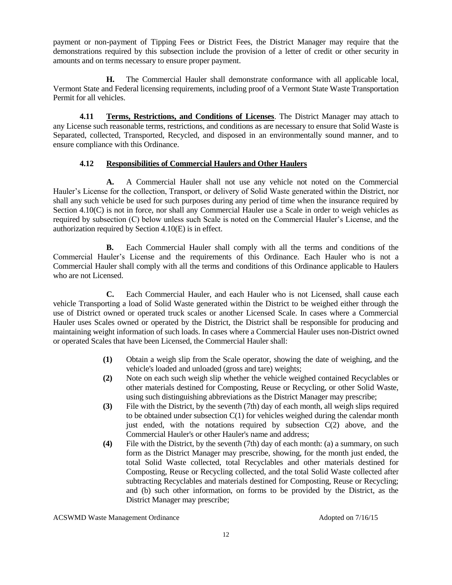payment or non-payment of Tipping Fees or District Fees, the District Manager may require that the demonstrations required by this subsection include the provision of a letter of credit or other security in amounts and on terms necessary to ensure proper payment.

**H.** The Commercial Hauler shall demonstrate conformance with all applicable local, Vermont State and Federal licensing requirements, including proof of a Vermont State Waste Transportation Permit for all vehicles.

**4.11 Terms, Restrictions, and Conditions of Licenses**. The District Manager may attach to any License such reasonable terms, restrictions, and conditions as are necessary to ensure that Solid Waste is Separated, collected, Transported, Recycled, and disposed in an environmentally sound manner, and to ensure compliance with this Ordinance.

### **4.12 Responsibilities of Commercial Haulers and Other Haulers**

**A.** A Commercial Hauler shall not use any vehicle not noted on the Commercial Hauler's License for the collection, Transport, or delivery of Solid Waste generated within the District, nor shall any such vehicle be used for such purposes during any period of time when the insurance required by Section 4.10(C) is not in force, nor shall any Commercial Hauler use a Scale in order to weigh vehicles as required by subsection (C) below unless such Scale is noted on the Commercial Hauler's License, and the authorization required by Section 4.10(E) is in effect.

**B.** Each Commercial Hauler shall comply with all the terms and conditions of the Commercial Hauler's License and the requirements of this Ordinance. Each Hauler who is not a Commercial Hauler shall comply with all the terms and conditions of this Ordinance applicable to Haulers who are not Licensed.

**C.** Each Commercial Hauler, and each Hauler who is not Licensed, shall cause each vehicle Transporting a load of Solid Waste generated within the District to be weighed either through the use of District owned or operated truck scales or another Licensed Scale. In cases where a Commercial Hauler uses Scales owned or operated by the District, the District shall be responsible for producing and maintaining weight information of such loads. In cases where a Commercial Hauler uses non-District owned or operated Scales that have been Licensed, the Commercial Hauler shall:

- **(1)** Obtain a weigh slip from the Scale operator, showing the date of weighing, and the vehicle's loaded and unloaded (gross and tare) weights;
- **(2)** Note on each such weigh slip whether the vehicle weighed contained Recyclables or other materials destined for Composting, Reuse or Recycling, or other Solid Waste, using such distinguishing abbreviations as the District Manager may prescribe;
- **(3)** File with the District, by the seventh (7th) day of each month, all weigh slips required to be obtained under subsection C(1) for vehicles weighed during the calendar month just ended, with the notations required by subsection  $C(2)$  above, and the Commercial Hauler's or other Hauler's name and address;
- **(4)** File with the District, by the seventh (7th) day of each month: (a) a summary, on such form as the District Manager may prescribe, showing, for the month just ended, the total Solid Waste collected, total Recyclables and other materials destined for Composting, Reuse or Recycling collected, and the total Solid Waste collected after subtracting Recyclables and materials destined for Composting, Reuse or Recycling; and (b) such other information, on forms to be provided by the District, as the District Manager may prescribe;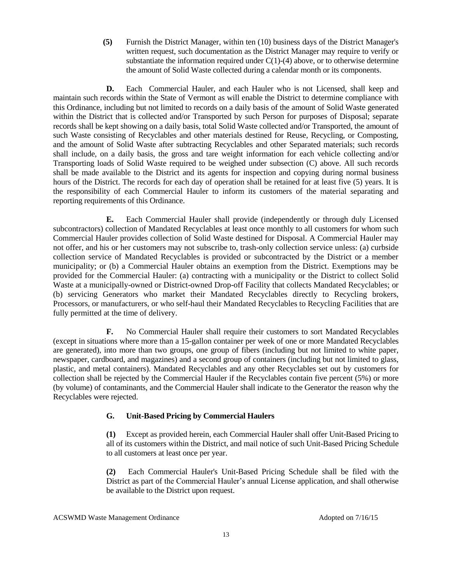**(5)** Furnish the District Manager, within ten (10) business days of the District Manager's written request, such documentation as the District Manager may require to verify or substantiate the information required under  $C(1)-(4)$  above, or to otherwise determine the amount of Solid Waste collected during a calendar month or its components.

**D.** Each Commercial Hauler, and each Hauler who is not Licensed, shall keep and maintain such records within the State of Vermont as will enable the District to determine compliance with this Ordinance, including but not limited to records on a daily basis of the amount of Solid Waste generated within the District that is collected and/or Transported by such Person for purposes of Disposal; separate records shall be kept showing on a daily basis, total Solid Waste collected and/or Transported, the amount of such Waste consisting of Recyclables and other materials destined for Reuse, Recycling, or Composting, and the amount of Solid Waste after subtracting Recyclables and other Separated materials; such records shall include, on a daily basis, the gross and tare weight information for each vehicle collecting and/or Transporting loads of Solid Waste required to be weighed under subsection (C) above. All such records shall be made available to the District and its agents for inspection and copying during normal business hours of the District. The records for each day of operation shall be retained for at least five (5) years. It is the responsibility of each Commercial Hauler to inform its customers of the material separating and reporting requirements of this Ordinance.

**E.** Each Commercial Hauler shall provide (independently or through duly Licensed subcontractors) collection of Mandated Recyclables at least once monthly to all customers for whom such Commercial Hauler provides collection of Solid Waste destined for Disposal. A Commercial Hauler may not offer, and his or her customers may not subscribe to, trash-only collection service unless: (a) curbside collection service of Mandated Recyclables is provided or subcontracted by the District or a member municipality; or (b) a Commercial Hauler obtains an exemption from the District. Exemptions may be provided for the Commercial Hauler: (a) contracting with a municipality or the District to collect Solid Waste at a municipally-owned or District-owned Drop-off Facility that collects Mandated Recyclables; or (b) servicing Generators who market their Mandated Recyclables directly to Recycling brokers, Processors, or manufacturers, or who self-haul their Mandated Recyclables to Recycling Facilities that are fully permitted at the time of delivery.

**F.** No Commercial Hauler shall require their customers to sort Mandated Recyclables (except in situations where more than a 15-gallon container per week of one or more Mandated Recyclables are generated), into more than two groups, one group of fibers (including but not limited to white paper, newspaper, cardboard, and magazines) and a second group of containers (including but not limited to glass, plastic, and metal containers). Mandated Recyclables and any other Recyclables set out by customers for collection shall be rejected by the Commercial Hauler if the Recyclables contain five percent (5%) or more (by volume) of contaminants, and the Commercial Hauler shall indicate to the Generator the reason why the Recyclables were rejected.

### **G. Unit-Based Pricing by Commercial Haulers**

**(1)** Except as provided herein, each Commercial Hauler shall offer Unit-Based Pricing to all of its customers within the District, and mail notice of such Unit-Based Pricing Schedule to all customers at least once per year.

**(2)** Each Commercial Hauler's Unit-Based Pricing Schedule shall be filed with the District as part of the Commercial Hauler's annual License application, and shall otherwise be available to the District upon request.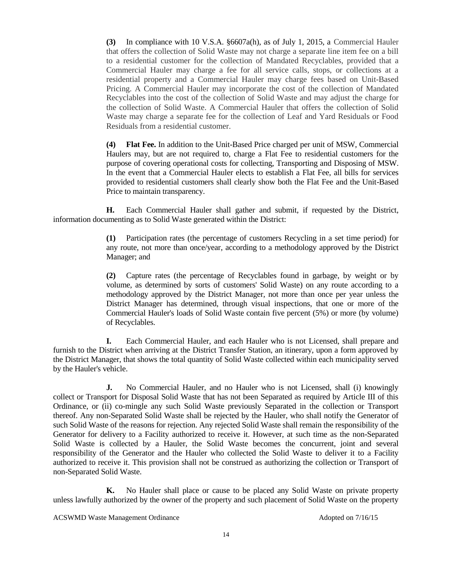**(3)** In compliance with 10 V.S.A. §6607a(h), as of July 1, 2015, a Commercial Hauler that offers the collection of Solid Waste may not charge a separate line item fee on a bill to a residential customer for the collection of Mandated Recyclables, provided that a Commercial Hauler may charge a fee for all service calls, stops, or collections at a residential property and a Commercial Hauler may charge fees based on Unit-Based Pricing. A Commercial Hauler may incorporate the cost of the collection of Mandated Recyclables into the cost of the collection of Solid Waste and may adjust the charge for the collection of Solid Waste. A Commercial Hauler that offers the collection of Solid Waste may charge a separate fee for the collection of Leaf and Yard Residuals or Food Residuals from a residential customer.

**(4) Flat Fee.** In addition to the Unit-Based Price charged per unit of MSW, Commercial Haulers may, but are not required to, charge a Flat Fee to residential customers for the purpose of covering operational costs for collecting, Transporting and Disposing of MSW. In the event that a Commercial Hauler elects to establish a Flat Fee, all bills for services provided to residential customers shall clearly show both the Flat Fee and the Unit-Based Price to maintain transparency.

**H.** Each Commercial Hauler shall gather and submit, if requested by the District, information documenting as to Solid Waste generated within the District:

> **(1)** Participation rates (the percentage of customers Recycling in a set time period) for any route, not more than once/year, according to a methodology approved by the District Manager; and

> **(2)** Capture rates (the percentage of Recyclables found in garbage, by weight or by volume, as determined by sorts of customers' Solid Waste) on any route according to a methodology approved by the District Manager, not more than once per year unless the District Manager has determined, through visual inspections, that one or more of the Commercial Hauler's loads of Solid Waste contain five percent (5%) or more (by volume) of Recyclables.

**I.** Each Commercial Hauler, and each Hauler who is not Licensed, shall prepare and furnish to the District when arriving at the District Transfer Station, an itinerary, upon a form approved by the District Manager, that shows the total quantity of Solid Waste collected within each municipality served by the Hauler's vehicle.

**J.** No Commercial Hauler, and no Hauler who is not Licensed, shall (i) knowingly collect or Transport for Disposal Solid Waste that has not been Separated as required by Article III of this Ordinance, or (ii) co-mingle any such Solid Waste previously Separated in the collection or Transport thereof. Any non-Separated Solid Waste shall be rejected by the Hauler, who shall notify the Generator of such Solid Waste of the reasons for rejection. Any rejected Solid Waste shall remain the responsibility of the Generator for delivery to a Facility authorized to receive it. However, at such time as the non-Separated Solid Waste is collected by a Hauler, the Solid Waste becomes the concurrent, joint and several responsibility of the Generator and the Hauler who collected the Solid Waste to deliver it to a Facility authorized to receive it. This provision shall not be construed as authorizing the collection or Transport of non-Separated Solid Waste.

**K.** No Hauler shall place or cause to be placed any Solid Waste on private property unless lawfully authorized by the owner of the property and such placement of Solid Waste on the property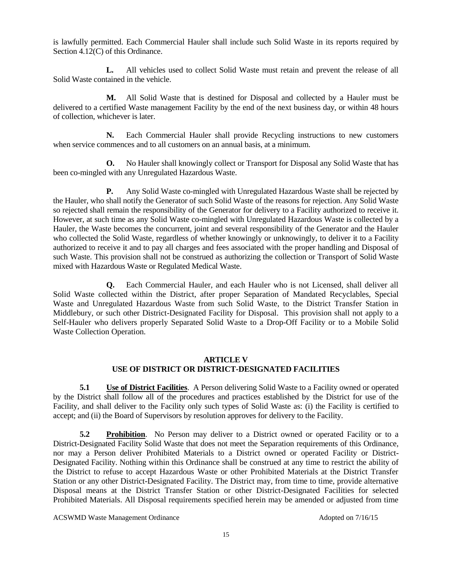is lawfully permitted. Each Commercial Hauler shall include such Solid Waste in its reports required by Section 4.12(C) of this Ordinance.

**L.** All vehicles used to collect Solid Waste must retain and prevent the release of all Solid Waste contained in the vehicle.

**M.** All Solid Waste that is destined for Disposal and collected by a Hauler must be delivered to a certified Waste management Facility by the end of the next business day, or within 48 hours of collection, whichever is later.

**N.** Each Commercial Hauler shall provide Recycling instructions to new customers when service commences and to all customers on an annual basis, at a minimum.

**O.** No Hauler shall knowingly collect or Transport for Disposal any Solid Waste that has been co-mingled with any Unregulated Hazardous Waste.

**P.** Any Solid Waste co-mingled with Unregulated Hazardous Waste shall be rejected by the Hauler, who shall notify the Generator of such Solid Waste of the reasons for rejection. Any Solid Waste so rejected shall remain the responsibility of the Generator for delivery to a Facility authorized to receive it. However, at such time as any Solid Waste co-mingled with Unregulated Hazardous Waste is collected by a Hauler, the Waste becomes the concurrent, joint and several responsibility of the Generator and the Hauler who collected the Solid Waste, regardless of whether knowingly or unknowingly, to deliver it to a Facility authorized to receive it and to pay all charges and fees associated with the proper handling and Disposal of such Waste. This provision shall not be construed as authorizing the collection or Transport of Solid Waste mixed with Hazardous Waste or Regulated Medical Waste.

**Q.** Each Commercial Hauler, and each Hauler who is not Licensed, shall deliver all Solid Waste collected within the District, after proper Separation of Mandated Recyclables, Special Waste and Unregulated Hazardous Waste from such Solid Waste, to the District Transfer Station in Middlebury, or such other District-Designated Facility for Disposal. This provision shall not apply to a Self-Hauler who delivers properly Separated Solid Waste to a Drop-Off Facility or to a Mobile Solid Waste Collection Operation.

### **ARTICLE V USE OF DISTRICT OR DISTRICT-DESIGNATED FACILITIES**

**5.1 Use of District Facilities**. A Person delivering Solid Waste to a Facility owned or operated by the District shall follow all of the procedures and practices established by the District for use of the Facility, and shall deliver to the Facility only such types of Solid Waste as: (i) the Facility is certified to accept; and (ii) the Board of Supervisors by resolution approves for delivery to the Facility.

**5.2 Prohibition**. No Person may deliver to a District owned or operated Facility or to a District-Designated Facility Solid Waste that does not meet the Separation requirements of this Ordinance, nor may a Person deliver Prohibited Materials to a District owned or operated Facility or District-Designated Facility. Nothing within this Ordinance shall be construed at any time to restrict the ability of the District to refuse to accept Hazardous Waste or other Prohibited Materials at the District Transfer Station or any other District-Designated Facility. The District may, from time to time, provide alternative Disposal means at the District Transfer Station or other District-Designated Facilities for selected Prohibited Materials. All Disposal requirements specified herein may be amended or adjusted from time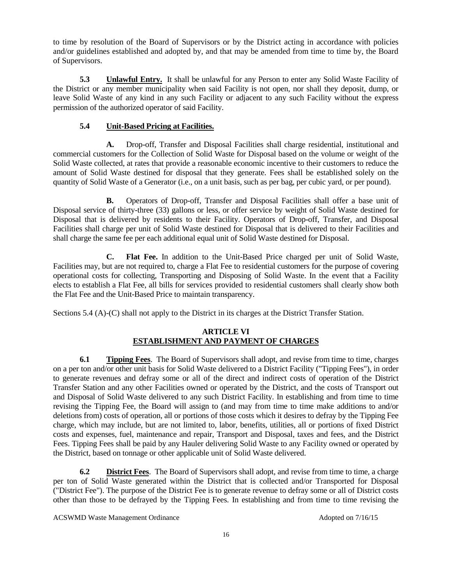to time by resolution of the Board of Supervisors or by the District acting in accordance with policies and/or guidelines established and adopted by, and that may be amended from time to time by, the Board of Supervisors.

**5.3 Unlawful Entry.** It shall be unlawful for any Person to enter any Solid Waste Facility of the District or any member municipality when said Facility is not open, nor shall they deposit, dump, or leave Solid Waste of any kind in any such Facility or adjacent to any such Facility without the express permission of the authorized operator of said Facility.

# **5.4 Unit-Based Pricing at Facilities.**

**A.** Drop-off, Transfer and Disposal Facilities shall charge residential, institutional and commercial customers for the Collection of Solid Waste for Disposal based on the volume or weight of the Solid Waste collected, at rates that provide a reasonable economic incentive to their customers to reduce the amount of Solid Waste destined for disposal that they generate. Fees shall be established solely on the quantity of Solid Waste of a Generator (i.e., on a unit basis, such as per bag, per cubic yard, or per pound).

**B.** Operators of Drop-off, Transfer and Disposal Facilities shall offer a base unit of Disposal service of thirty-three (33) gallons or less, or offer service by weight of Solid Waste destined for Disposal that is delivered by residents to their Facility. Operators of Drop-off, Transfer, and Disposal Facilities shall charge per unit of Solid Waste destined for Disposal that is delivered to their Facilities and shall charge the same fee per each additional equal unit of Solid Waste destined for Disposal.

**C. Flat Fee.** In addition to the Unit-Based Price charged per unit of Solid Waste, Facilities may, but are not required to, charge a Flat Fee to residential customers for the purpose of covering operational costs for collecting, Transporting and Disposing of Solid Waste. In the event that a Facility elects to establish a Flat Fee, all bills for services provided to residential customers shall clearly show both the Flat Fee and the Unit-Based Price to maintain transparency.

Sections 5.4 (A)-(C) shall not apply to the District in its charges at the District Transfer Station.

# **ARTICLE VI ESTABLISHMENT AND PAYMENT OF CHARGES**

**6.1 Tipping Fees**. The Board of Supervisors shall adopt, and revise from time to time, charges on a per ton and/or other unit basis for Solid Waste delivered to a District Facility ("Tipping Fees"), in order to generate revenues and defray some or all of the direct and indirect costs of operation of the District Transfer Station and any other Facilities owned or operated by the District, and the costs of Transport out and Disposal of Solid Waste delivered to any such District Facility. In establishing and from time to time revising the Tipping Fee, the Board will assign to (and may from time to time make additions to and/or deletions from) costs of operation, all or portions of those costs which it desires to defray by the Tipping Fee charge, which may include, but are not limited to, labor, benefits, utilities, all or portions of fixed District costs and expenses, fuel, maintenance and repair, Transport and Disposal, taxes and fees, and the District Fees. Tipping Fees shall be paid by any Hauler delivering Solid Waste to any Facility owned or operated by the District, based on tonnage or other applicable unit of Solid Waste delivered.

**6.2 District Fees**. The Board of Supervisors shall adopt, and revise from time to time, a charge per ton of Solid Waste generated within the District that is collected and/or Transported for Disposal ("District Fee"). The purpose of the District Fee is to generate revenue to defray some or all of District costs other than those to be defrayed by the Tipping Fees. In establishing and from time to time revising the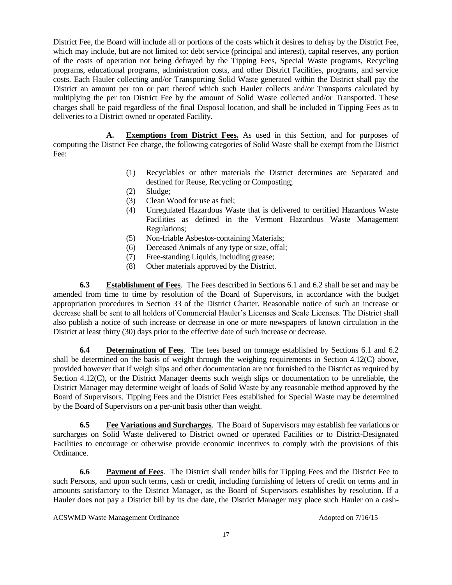District Fee, the Board will include all or portions of the costs which it desires to defray by the District Fee, which may include, but are not limited to: debt service (principal and interest), capital reserves, any portion of the costs of operation not being defrayed by the Tipping Fees, Special Waste programs, Recycling programs, educational programs, administration costs, and other District Facilities, programs, and service costs. Each Hauler collecting and/or Transporting Solid Waste generated within the District shall pay the District an amount per ton or part thereof which such Hauler collects and/or Transports calculated by multiplying the per ton District Fee by the amount of Solid Waste collected and/or Transported. These charges shall be paid regardless of the final Disposal location, and shall be included in Tipping Fees as to deliveries to a District owned or operated Facility.

**A. Exemptions from District Fees.** As used in this Section, and for purposes of computing the District Fee charge, the following categories of Solid Waste shall be exempt from the District Fee:

- (1) Recyclables or other materials the District determines are Separated and destined for Reuse, Recycling or Composting;
- (2) Sludge;
- (3) Clean Wood for use as fuel;
- (4) Unregulated Hazardous Waste that is delivered to certified Hazardous Waste Facilities as defined in the Vermont Hazardous Waste Management Regulations;
- (5) Non-friable Asbestos-containing Materials;
- (6) Deceased Animals of any type or size, offal;
- (7) Free-standing Liquids, including grease;
- (8) Other materials approved by the District.

**6.3 Establishment of Fees**. The Fees described in Sections 6.1 and 6.2 shall be set and may be amended from time to time by resolution of the Board of Supervisors, in accordance with the budget appropriation procedures in Section 33 of the District Charter. Reasonable notice of such an increase or decrease shall be sent to all holders of Commercial Hauler's Licenses and Scale Licenses. The District shall also publish a notice of such increase or decrease in one or more newspapers of known circulation in the District at least thirty (30) days prior to the effective date of such increase or decrease.

**6.4 Determination of Fees**. The fees based on tonnage established by Sections 6.1 and 6.2 shall be determined on the basis of weight through the weighing requirements in Section 4.12(C) above, provided however that if weigh slips and other documentation are not furnished to the District as required by Section 4.12(C), or the District Manager deems such weigh slips or documentation to be unreliable, the District Manager may determine weight of loads of Solid Waste by any reasonable method approved by the Board of Supervisors. Tipping Fees and the District Fees established for Special Waste may be determined by the Board of Supervisors on a per-unit basis other than weight.

**6.5 Fee Variations and Surcharges**. The Board of Supervisors may establish fee variations or surcharges on Solid Waste delivered to District owned or operated Facilities or to District-Designated Facilities to encourage or otherwise provide economic incentives to comply with the provisions of this Ordinance.

**6.6 Payment of Fees**. The District shall render bills for Tipping Fees and the District Fee to such Persons, and upon such terms, cash or credit, including furnishing of letters of credit on terms and in amounts satisfactory to the District Manager, as the Board of Supervisors establishes by resolution. If a Hauler does not pay a District bill by its due date, the District Manager may place such Hauler on a cash-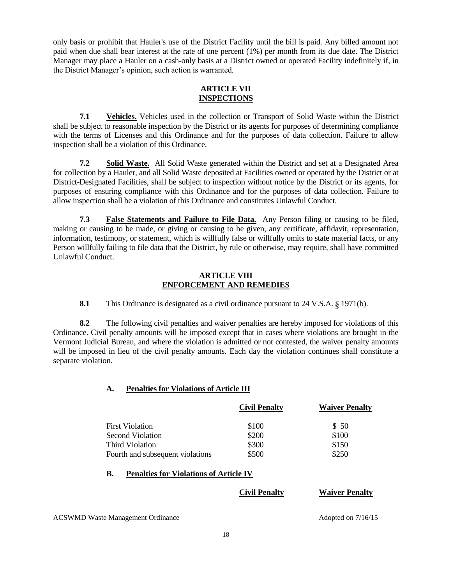only basis or prohibit that Hauler's use of the District Facility until the bill is paid. Any billed amount not paid when due shall bear interest at the rate of one percent (1%) per month from its due date. The District Manager may place a Hauler on a cash-only basis at a District owned or operated Facility indefinitely if, in the District Manager's opinion, such action is warranted.

### **ARTICLE VII INSPECTIONS**

**7.1 Vehicles.** Vehicles used in the collection or Transport of Solid Waste within the District shall be subject to reasonable inspection by the District or its agents for purposes of determining compliance with the terms of Licenses and this Ordinance and for the purposes of data collection. Failure to allow inspection shall be a violation of this Ordinance.

**7.2 Solid Waste.** All Solid Waste generated within the District and set at a Designated Area for collection by a Hauler, and all Solid Waste deposited at Facilities owned or operated by the District or at District-Designated Facilities, shall be subject to inspection without notice by the District or its agents, for purposes of ensuring compliance with this Ordinance and for the purposes of data collection. Failure to allow inspection shall be a violation of this Ordinance and constitutes Unlawful Conduct.

**7.3 False Statements and Failure to File Data.** Any Person filing or causing to be filed, making or causing to be made, or giving or causing to be given, any certificate, affidavit, representation, information, testimony, or statement, which is willfully false or willfully omits to state material facts, or any Person willfully failing to file data that the District, by rule or otherwise, may require, shall have committed Unlawful Conduct.

### **ARTICLE VIII ENFORCEMENT AND REMEDIES**

**8.1** This Ordinance is designated as a civil ordinance pursuant to 24 V.S.A. § 1971(b).

**8.2** The following civil penalties and waiver penalties are hereby imposed for violations of this Ordinance. Civil penalty amounts will be imposed except that in cases where violations are brought in the Vermont Judicial Bureau, and where the violation is admitted or not contested, the waiver penalty amounts will be imposed in lieu of the civil penalty amounts. Each day the violation continues shall constitute a separate violation.

# **A. Penalties for Violations of Article III**

|                                  | <b>Civil Penalty</b> | <b>Waiver Penalty</b> |
|----------------------------------|----------------------|-----------------------|
| <b>First Violation</b>           | \$100                | \$50                  |
| Second Violation                 | \$200                | \$100                 |
| Third Violation                  | \$300                | \$150                 |
| Fourth and subsequent violations | \$500                | \$250                 |

### **B. Penalties for Violations of Article IV**

**Civil Penalty Waiver Penalty**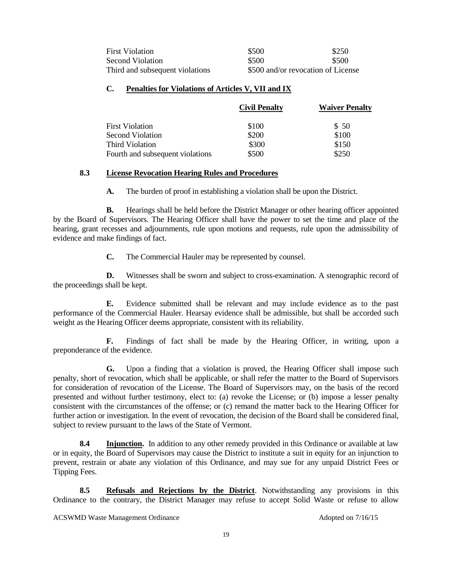| <b>First Violation</b>          | \$500                              | \$250 |
|---------------------------------|------------------------------------|-------|
| Second Violation                | \$500                              | \$500 |
| Third and subsequent violations | \$500 and/or revocation of License |       |

#### **C. Penalties for Violations of Articles V, VII and IX**

|                                  | <b>Civil Penalty</b> | <b>Waiver Penalty</b> |
|----------------------------------|----------------------|-----------------------|
| <b>First Violation</b>           | \$100                | \$50                  |
| <b>Second Violation</b>          | \$200                | \$100                 |
| Third Violation                  | \$300                | \$150                 |
| Fourth and subsequent violations | \$500                | \$250                 |

### **8.3 License Revocation Hearing Rules and Procedures**

**A.** The burden of proof in establishing a violation shall be upon the District.

**B.** Hearings shall be held before the District Manager or other hearing officer appointed by the Board of Supervisors. The Hearing Officer shall have the power to set the time and place of the hearing, grant recesses and adjournments, rule upon motions and requests, rule upon the admissibility of evidence and make findings of fact.

**C.** The Commercial Hauler may be represented by counsel.

**D.** Witnesses shall be sworn and subject to cross-examination. A stenographic record of the proceedings shall be kept.

**E.** Evidence submitted shall be relevant and may include evidence as to the past performance of the Commercial Hauler. Hearsay evidence shall be admissible, but shall be accorded such weight as the Hearing Officer deems appropriate, consistent with its reliability.

**F.** Findings of fact shall be made by the Hearing Officer, in writing, upon a preponderance of the evidence.

**G.** Upon a finding that a violation is proved, the Hearing Officer shall impose such penalty, short of revocation, which shall be applicable, or shall refer the matter to the Board of Supervisors for consideration of revocation of the License. The Board of Supervisors may, on the basis of the record presented and without further testimony, elect to: (a) revoke the License; or (b) impose a lesser penalty consistent with the circumstances of the offense; or (c) remand the matter back to the Hearing Officer for further action or investigation. In the event of revocation, the decision of the Board shall be considered final, subject to review pursuant to the laws of the State of Vermont.

**8.4 Injunction.** In addition to any other remedy provided in this Ordinance or available at law or in equity, the Board of Supervisors may cause the District to institute a suit in equity for an injunction to prevent, restrain or abate any violation of this Ordinance, and may sue for any unpaid District Fees or Tipping Fees.

**8.5 Refusals and Rejections by the District**. Notwithstanding any provisions in this Ordinance to the contrary, the District Manager may refuse to accept Solid Waste or refuse to allow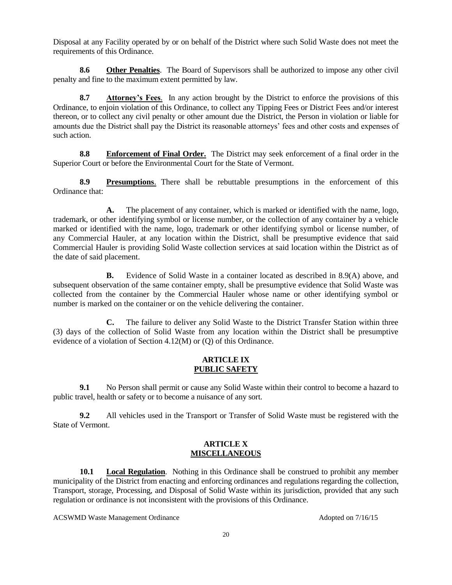Disposal at any Facility operated by or on behalf of the District where such Solid Waste does not meet the requirements of this Ordinance.

**8.6 Other Penalties**. The Board of Supervisors shall be authorized to impose any other civil penalty and fine to the maximum extent permitted by law.

**8.7 Attorney's Fees**. In any action brought by the District to enforce the provisions of this Ordinance, to enjoin violation of this Ordinance, to collect any Tipping Fees or District Fees and/or interest thereon, or to collect any civil penalty or other amount due the District, the Person in violation or liable for amounts due the District shall pay the District its reasonable attorneys' fees and other costs and expenses of such action.

**8.8 Enforcement of Final Order.** The District may seek enforcement of a final order in the Superior Court or before the Environmental Court for the State of Vermont.

**8.9 Presumptions**. There shall be rebuttable presumptions in the enforcement of this Ordinance that:

**A.** The placement of any container, which is marked or identified with the name, logo, trademark, or other identifying symbol or license number, or the collection of any container by a vehicle marked or identified with the name, logo, trademark or other identifying symbol or license number, of any Commercial Hauler, at any location within the District, shall be presumptive evidence that said Commercial Hauler is providing Solid Waste collection services at said location within the District as of the date of said placement.

**B.** Evidence of Solid Waste in a container located as described in 8.9(A) above, and subsequent observation of the same container empty, shall be presumptive evidence that Solid Waste was collected from the container by the Commercial Hauler whose name or other identifying symbol or number is marked on the container or on the vehicle delivering the container.

**C.** The failure to deliver any Solid Waste to the District Transfer Station within three (3) days of the collection of Solid Waste from any location within the District shall be presumptive evidence of a violation of Section 4.12(M) or (Q) of this Ordinance.

### **ARTICLE IX PUBLIC SAFETY**

**9.1** No Person shall permit or cause any Solid Waste within their control to become a hazard to public travel, health or safety or to become a nuisance of any sort.

**9.2** All vehicles used in the Transport or Transfer of Solid Waste must be registered with the State of Vermont.

### **ARTICLE X MISCELLANEOUS**

**10.1 Local Regulation**. Nothing in this Ordinance shall be construed to prohibit any member municipality of the District from enacting and enforcing ordinances and regulations regarding the collection, Transport, storage, Processing, and Disposal of Solid Waste within its jurisdiction, provided that any such regulation or ordinance is not inconsistent with the provisions of this Ordinance.